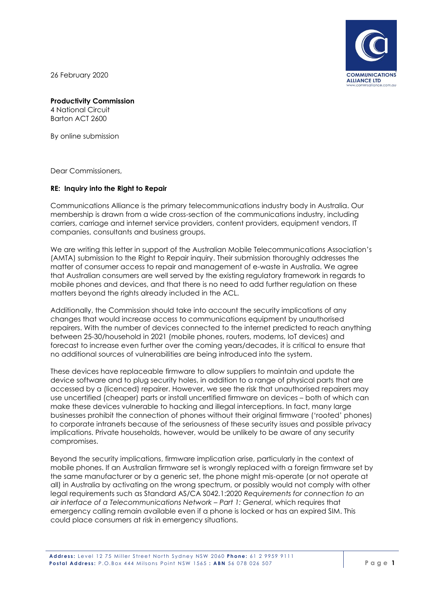

26 February 2020

## **Productivity Commission**

4 National Circuit Barton ACT 2600

By online submission

Dear Commissioners,

## **RE: Inquiry into the Right to Repair**

Communications Alliance is the primary telecommunications industry body in Australia. Our membership is drawn from a wide cross-section of the communications industry, including carriers, carriage and internet service providers, content providers, equipment vendors, IT companies, consultants and business groups.

We are writing this letter in support of the Australian Mobile Telecommunications Association's (AMTA) submission to the Right to Repair inquiry. Their submission thoroughly addresses the matter of consumer access to repair and management of e-waste in Australia. We agree that Australian consumers are well served by the existing regulatory framework in regards to mobile phones and devices, and that there is no need to add further regulation on these matters beyond the rights already included in the ACL.

Additionally, the Commission should take into account the security implications of any changes that would increase access to communications equipment by unauthorised repairers. With the number of devices connected to the internet predicted to reach anything between 25-30/household in 2021 (mobile phones, routers, modems, IoT devices) and forecast to increase even further over the coming years/decades, it is critical to ensure that no additional sources of vulnerabilities are being introduced into the system.

These devices have replaceable firmware to allow suppliers to maintain and update the device software and to plug security holes, in addition to a range of physical parts that are accessed by a (licenced) repairer. However, we see the risk that unauthorised repairers may use uncertified (cheaper) parts or install uncertified firmware on devices – both of which can make these devices vulnerable to hacking and illegal interceptions. In fact, many large businesses prohibit the connection of phones without their original firmware ('rooted' phones) to corporate intranets because of the seriousness of these security issues and possible privacy implications. Private households, however, would be unlikely to be aware of any security compromises.

Beyond the security implications, firmware implication arise, particularly in the context of mobile phones. If an Australian firmware set is wrongly replaced with a foreign firmware set by the same manufacturer or by a generic set, the phone might mis-operate (or not operate at all) in Australia by activating on the wrong spectrum, or possibly would not comply with other legal requirements such as Standard AS/CA S042.1:2020 *Requirements for connection to an air interface of a Telecommunications Network – Part 1: General*, which requires that emergency calling remain available even if a phone is locked or has an expired SIM. This could place consumers at risk in emergency situations.